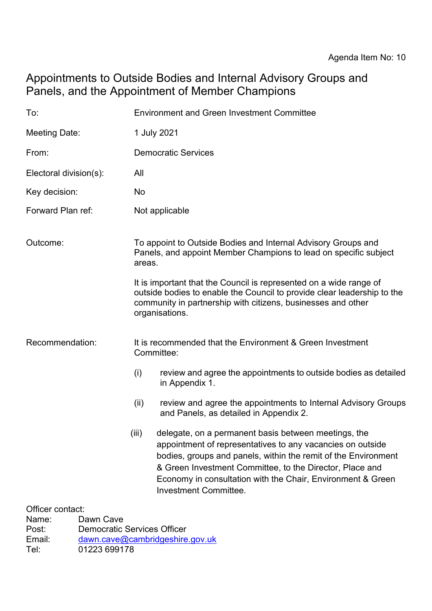## Appointments to Outside Bodies and Internal Advisory Groups and Panels, and the Appointment of Member Champions

| To:                    | <b>Environment and Green Investment Committee</b>                                                                                                                                                                                                                                                                                                        |
|------------------------|----------------------------------------------------------------------------------------------------------------------------------------------------------------------------------------------------------------------------------------------------------------------------------------------------------------------------------------------------------|
| Meeting Date:          | 1 July 2021                                                                                                                                                                                                                                                                                                                                              |
| From:                  | <b>Democratic Services</b>                                                                                                                                                                                                                                                                                                                               |
| Electoral division(s): | All                                                                                                                                                                                                                                                                                                                                                      |
| Key decision:          | No                                                                                                                                                                                                                                                                                                                                                       |
| Forward Plan ref:      | Not applicable                                                                                                                                                                                                                                                                                                                                           |
| Outcome:               | To appoint to Outside Bodies and Internal Advisory Groups and<br>Panels, and appoint Member Champions to lead on specific subject<br>areas.                                                                                                                                                                                                              |
|                        | It is important that the Council is represented on a wide range of<br>outside bodies to enable the Council to provide clear leadership to the<br>community in partnership with citizens, businesses and other<br>organisations.                                                                                                                          |
| Recommendation:        | It is recommended that the Environment & Green Investment<br>Committee:                                                                                                                                                                                                                                                                                  |
|                        | (i)<br>review and agree the appointments to outside bodies as detailed<br>in Appendix 1.                                                                                                                                                                                                                                                                 |
|                        | review and agree the appointments to Internal Advisory Groups<br>(ii)<br>and Panels, as detailed in Appendix 2.                                                                                                                                                                                                                                          |
|                        | (iii)<br>delegate, on a permanent basis between meetings, the<br>appointment of representatives to any vacancies on outside<br>bodies, groups and panels, within the remit of the Environment<br>& Green Investment Committee, to the Director, Place and<br>Economy in consultation with the Chair, Environment & Green<br><b>Investment Committee.</b> |
| Officer contact:       |                                                                                                                                                                                                                                                                                                                                                          |

Name: Dawn Cave<br>Post: Democratic Post: Democratic Services Officer<br>
Email: dawn.cave@cambridgeshire [dawn.cave@cambridgeshire.gov.uk](mailto:dawn.cave@cambridgeshire.gov.uk) Tel: 01223 699178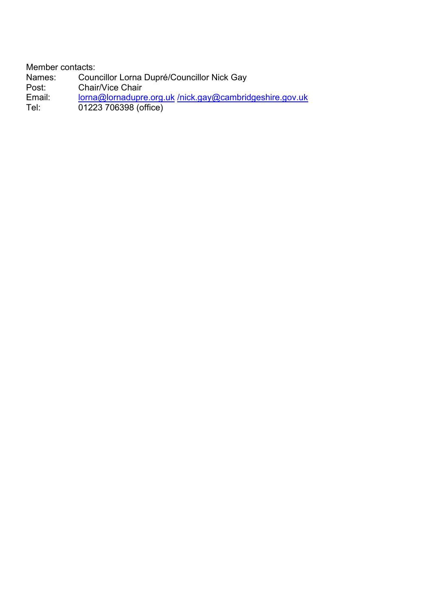Member contacts:<br>Names: Cour Mames: Councillor Lorna Dupré/Councillor Nick Gay<br>Post: Chair/Vice Chair Post: Chair/Vice Chair<br>Email: Iorna@lornadupre Email: [lorna@lornadupre.org.uk](mailto:lorna@lornadupre.org.uk) [/nick.gay@cambridgeshire.gov.uk](mailto:/nick.gay@cambridgeshire.gov.uk) Tel: 01223 706398 (office)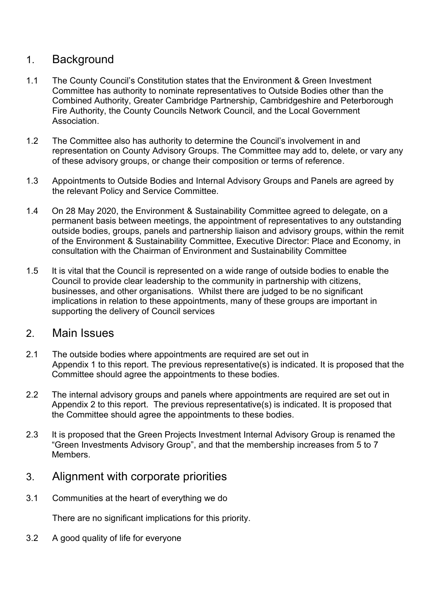## 1. Background

- 1.1 The County Council's Constitution states that the Environment & Green Investment Committee has authority to nominate representatives to Outside Bodies other than the Combined Authority, Greater Cambridge Partnership, Cambridgeshire and Peterborough Fire Authority, the County Councils Network Council, and the Local Government Association.
- 1.2 The Committee also has authority to determine the Council's involvement in and representation on County Advisory Groups. The Committee may add to, delete, or vary any of these advisory groups, or change their composition or terms of reference.
- 1.3 Appointments to Outside Bodies and Internal Advisory Groups and Panels are agreed by the relevant Policy and Service Committee.
- 1.4 On 28 May 2020, the Environment & Sustainability Committee agreed to delegate, on a permanent basis between meetings, the appointment of representatives to any outstanding outside bodies, groups, panels and partnership liaison and advisory groups, within the remit of the Environment & Sustainability Committee, Executive Director: Place and Economy, in consultation with the Chairman of Environment and Sustainability Committee
- 1.5 It is vital that the Council is represented on a wide range of outside bodies to enable the Council to provide clear leadership to the community in partnership with citizens, businesses, and other organisations. Whilst there are judged to be no significant implications in relation to these appointments, many of these groups are important in supporting the delivery of Council services

## 2. Main Issues

- 2.1 The outside bodies where appointments are required are set out in Appendix 1 to this report. The previous representative(s) is indicated. It is proposed that the Committee should agree the appointments to these bodies.
- 2.2 The internal advisory groups and panels where appointments are required are set out in Appendix 2 to this report. The previous representative(s) is indicated. It is proposed that the Committee should agree the appointments to these bodies.
- 2.3 It is proposed that the Green Projects Investment Internal Advisory Group is renamed the "Green Investments Advisory Group", and that the membership increases from 5 to 7 **Members**

## 3. Alignment with corporate priorities

3.1 Communities at the heart of everything we do

There are no significant implications for this priority.

3.2 A good quality of life for everyone